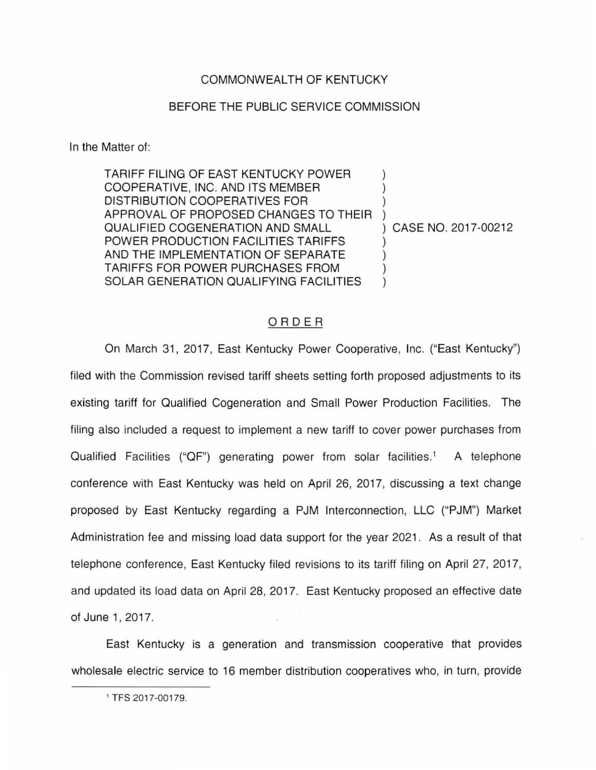## COMMONWEALTH OF KENTUCKY

## BEFORE THE PUBLIC SERVICE COMMISSION

In the Matter of:

TARIFF FILING OF EAST KENTUCKY POWER ) COOPERATIVE, INC. AND ITS MEMBER ) DISTRIBUTION COOPERATIVES FOR ) APPROVAL OF PROPOSED CHANGES TO THEIR ) QUALIFIED COGENERATION AND SMALL ) CASE NO. 2017-00212 POWER PRODUCTION FACILITIES TARIFFS AND THE IMPLEMENTATION OF SEPARATE TARIFFS FOR POWER PURCHASES FROM ) SOLAR GENERATION QUALIFYING FACILITIES

## ORDER

On March 31 , 2017, East Kentucky Power Cooperative, Inc. ("East Kentucky") filed with the Commission revised tariff sheets setting forth proposed adjustments to its existing tariff for Qualified Cogeneration and Small Power Production Facilities. The filing also included a request to implement a new tariff to cover power purchases from Qualified Facilities ("QF") generating power from solar facilities.<sup>1</sup> A telephone conference with East Kentucky was held on April 26, 2017, discussing a text change proposed by East Kentucky regarding a PJM Interconnection, LLC ("PJM") Market Administration fee and missing load data support for the year 2021. As a result of that telephone conference, East Kentucky filed revisions to its tariff filing on April 27, 2017, and updated its load data on April 28, 2017. East Kentucky proposed an effective date of June 1, 2017.

East Kentucky is a generation and transmission cooperative that provides wholesale electric service to 16 member distribution cooperatives who, in turn, provide

<sup>1</sup> TFS 2017-00179.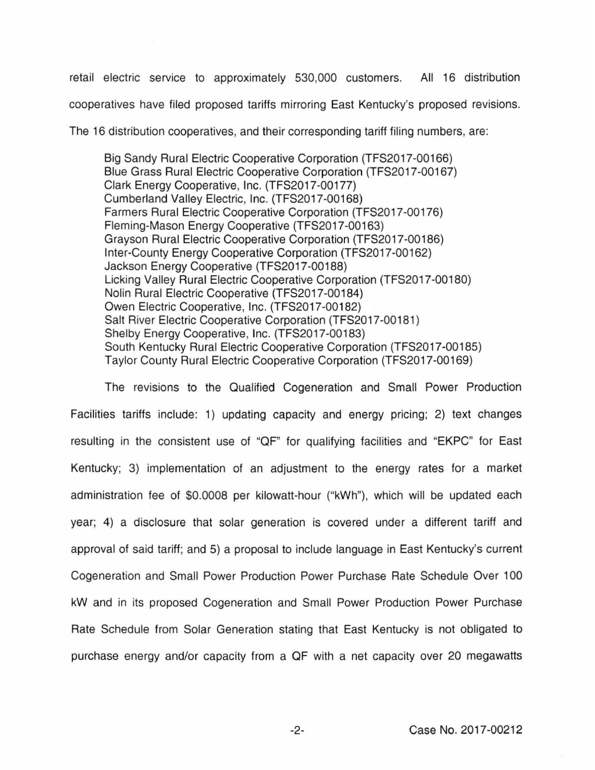retail electric service to approximately 530,000 customers. All 16 distribution cooperatives have filed proposed tariffs mirroring East Kentucky's proposed revisions.

The 16 distribution cooperatives, and their corresponding tariff filing numbers, are:

Big Sandy Rural Electric Cooperative Corporation (TFS2017-00166) Blue Grass Rural Electric Cooperative Corporation (TFS2017 -00167) Clark Energy Cooperative, Inc. (TFS2017-00177) Cumberland Valley Electric, Inc. (TFS2017 -00168) Farmers Rural Electric Cooperative Corporation (TFS2017-00176) Fleming-Mason Energy Cooperative (TFS2017 -00163) Grayson Rural Electric Cooperative Corporation (TFS2017 -00186) Inter-County Energy Cooperative Corporation (TFS2017 -00162) Jackson Energy Cooperative (TFS2017 -00188) Licking Valley Rural Electric Cooperative Corporation (TFS2017-00180) Nolin Rural Electric Cooperative (TFS2017-00184) Owen Electric Cooperative, Inc. (TFS2017-00182) Salt River Electric Cooperative Corporation (TFS2017-00181) Shelby Energy Cooperative, Inc. (TFS2017-00183) South Kentucky Rural Electric Cooperative Corporation (TFS2017 -00185) Taylor County Rural Electric Cooperative Corporation (TFS2017 -00169)

The revisions to the Qualified Cogeneration and Small Power Production Facilities tariffs include: 1) updating capacity and energy pricing; 2) text changes resulting in the consistent use of "OF" for qualifying facilities and "EKPC" for East Kentucky; 3) implementation of an adjustment to the energy rates for a market administration fee of \$0.0008 per kilowatt-hour ("kWh"), which will be updated each year; 4) a disclosure that solar generation is covered under a different tariff and approval of said tariff; and 5) a proposal to include language in East Kentucky's current Cogeneration and Small Power Production Power Purchase Rate Schedule Over 100 kW and in its proposed Cogeneration and Small Power Production Power Purchase Rate Schedule from Solar Generation stating that East Kentucky is not obligated to purchase energy and/or capacity from a OF with a net capacity over 20 megawatts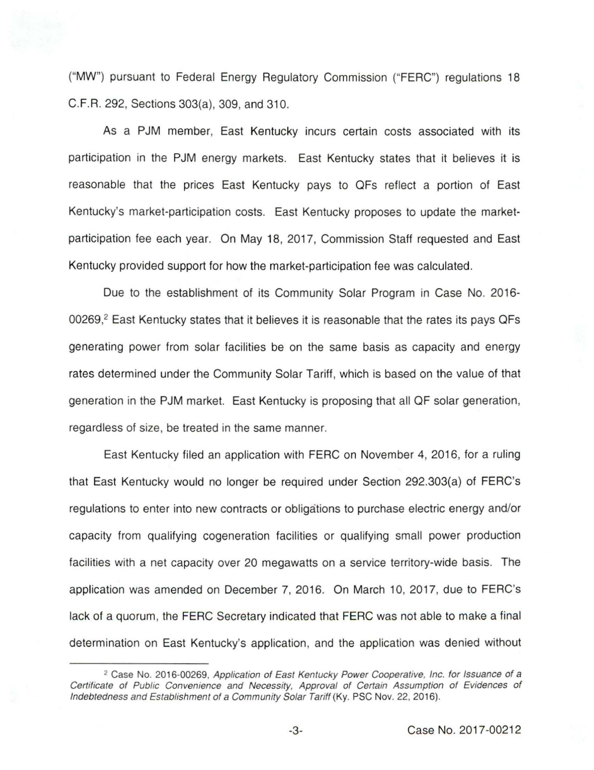("MW") pursuant to Federal Energy Regulatory Commission ("FERC") regulations 18 C.F.R. 292, Sections 303(a), 309, and 310.

As a PJM member, East Kentucky incurs certain costs associated with its participation in the PJM energy markets. East Kentucky states that it believes it is reasonable that the prices East Kentucky pays to QFs reflect a portion of East Kentucky's market-participation costs. East Kentucky proposes to update the marketparticipation fee each year. On May 18, 2017, Commission Staff requested and East Kentucky provided support for how the market-participation fee was calculated.

Due to the establishment of its Community Solar Program in Case No. 2016- 00269,<sup>2</sup> East Kentucky states that it believes it is reasonable that the rates its pays QFs generating power from solar facilities be on the same basis as capacity and energy rates determined under the Community Solar Tariff, which is based on the value of that generation in the PJM market. East Kentucky is proposing that all QF solar generation, regardless of size, be treated in the same manner.

East Kentucky filed an application with FERC on November 4, 2016, for a ruling that East Kentucky would no longer be required under Section 292.303(a) of FERC's regulations to enter into new contracts or obligations to purchase electric energy and/or capacity from qualifying cogeneration facilities or qualifying small power production facilities with a net capacity over 20 megawatts on a service territory-wide basis. The application was amended on December 7, 2016. On March 10, 2017, due to FERC's lack of a quorum, the FERC Secretary indicated that FERC was not able to make a final determination on East Kentucky's application, and the application was denied without

<sup>&</sup>lt;sup>2</sup> Case No. 2016-00269, Application of East Kentucky Power Cooperative, Inc. for Issuance of a Certificate of Public Convenience and Necessity, Approval of Certain Assumption of Evidences of Indebtedness and Establishment of a Community Solar Tariff (Ky. PSC Nov. 22, 2016).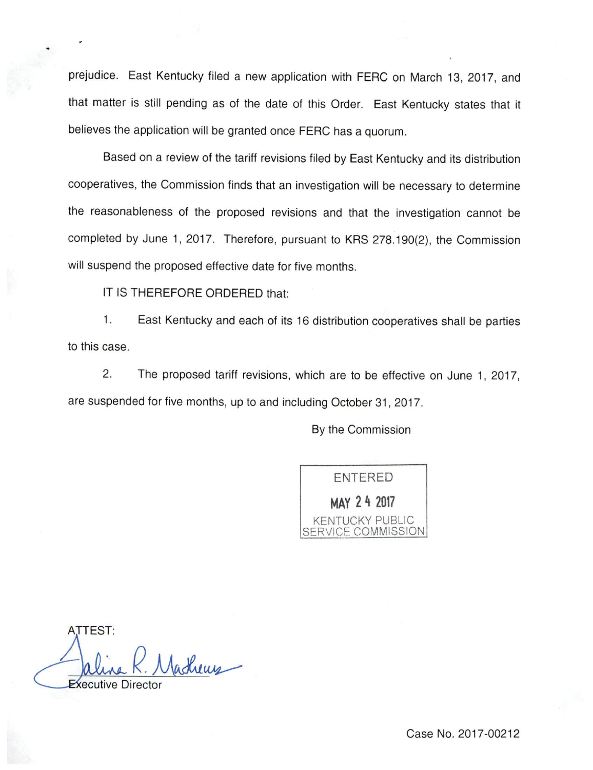prejudice. East Kentucky filed a new application with FERC on March 13, 2017, and that matter is still pending as of the date of this Order. East Kentucky states that it believes the application will be granted once FERC has a quorum.

Based on a review of the tariff revisions filed by East Kentucky and its distribution cooperatives, the Commission finds that an investigation will be necessary to determine the reasonableness of the proposed revisions and that the investigation cannot be completed by June 1, 2017. Therefore, pursuant to KRS 278.190(2), the Commission will suspend the proposed effective date for five months.

IT IS THEREFORE ORDERED that:

1. East Kentucky and each of its 16 distribution cooperatives shall be parties to this case.

2. The proposed tariff revisions, which are to be effective on June 1, 2017, are suspended for five months, up to and including October 31, 2017.

By the Commission



ATTEST: atherry **ecutive Director**